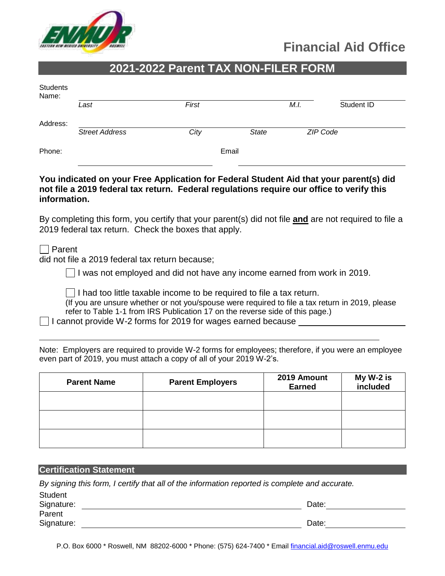

# **Financial Aid Office**

## **2021-2022 Parent TAX NON-FILER FORM**

| Students<br>Name: |                       |       |              |      |            |
|-------------------|-----------------------|-------|--------------|------|------------|
|                   | Last                  | First |              | M.I. | Student ID |
| Address:          |                       |       |              |      |            |
|                   | <b>Street Address</b> | City  | <b>State</b> |      | ZIP Code   |
| Phone:            |                       |       | Email        |      |            |

#### **You indicated on your Free Application for Federal Student Aid that your parent(s) did not file a 2019 federal tax return. Federal regulations require our office to verify this information.**

By completing this form, you certify that your parent(s) did not file **and** are not required to file a 2019 federal tax return. Check the boxes that apply.

**□** Parent

did not file a 2019 federal tax return because;

 $\vert \ \vert$  I was not employed and did not have any income earned from work in 2019.

 $\Box$  I had too little taxable income to be required to file a tax return.

(If you are unsure whether or not you/spouse were required to file a tax return in 2019, please refer to Table 1-1 from IRS Publication 17 on the reverse side of this page.)

 $\Box$  I cannot provide W-2 forms for 2019 for wages earned because

Note: Employers are required to provide W-2 forms for employees; therefore, if you were an employee even part of 2019, you must attach a copy of all of your 2019 W-2's.

| <b>Parent Name</b> | <b>Parent Employers</b> | 2019 Amount<br><b>Earned</b> | My W-2 is<br>included |
|--------------------|-------------------------|------------------------------|-----------------------|
|                    |                         |                              |                       |
|                    |                         |                              |                       |
|                    |                         |                              |                       |

#### **Certification Statement**

 $\sim$ 

*By signing this form, I certify that all of the information reported is complete and accurate.* 

| Student<br>Signature: | Date: |
|-----------------------|-------|
| Parent                |       |
| Signature:            | Date: |

P.O. Box 6000 \* Roswell, NM 88202-6000 \* Phone: (575) 624-7400 \* Email [financial.aid@roswell.enmu.edu](mailto:financial.aid@roswell.enmu.edu)